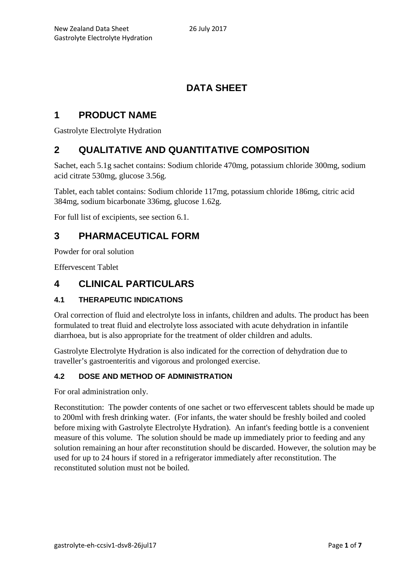# **DATA SHEET**

# **1 PRODUCT NAME**

Gastrolyte Electrolyte Hydration

# **2 QUALITATIVE AND QUANTITATIVE COMPOSITION**

Sachet, each 5.1g sachet contains: Sodium chloride 470mg, potassium chloride 300mg, sodium acid citrate 530mg, glucose 3.56g.

Tablet, each tablet contains: Sodium chloride 117mg, potassium chloride 186mg, citric acid 384mg, sodium bicarbonate 336mg, glucose 1.62g.

For full list of excipients, see section 6.1.

# **3 PHARMACEUTICAL FORM**

Powder for oral solution

Effervescent Tablet

## **4 CLINICAL PARTICULARS**

## **4.1 THERAPEUTIC INDICATIONS**

Oral correction of fluid and electrolyte loss in infants, children and adults. The product has been formulated to treat fluid and electrolyte loss associated with acute dehydration in infantile diarrhoea, but is also appropriate for the treatment of older children and adults.

Gastrolyte Electrolyte Hydration is also indicated for the correction of dehydration due to traveller's gastroenteritis and vigorous and prolonged exercise.

### **4.2 DOSE AND METHOD OF ADMINISTRATION**

For oral administration only.

Reconstitution: The powder contents of one sachet or two effervescent tablets should be made up to 200ml with fresh drinking water. (For infants, the water should be freshly boiled and cooled before mixing with Gastrolyte Electrolyte Hydration). An infant's feeding bottle is a convenient measure of this volume. The solution should be made up immediately prior to feeding and any solution remaining an hour after reconstitution should be discarded. However, the solution may be used for up to 24 hours if stored in a refrigerator immediately after reconstitution. The reconstituted solution must not be boiled.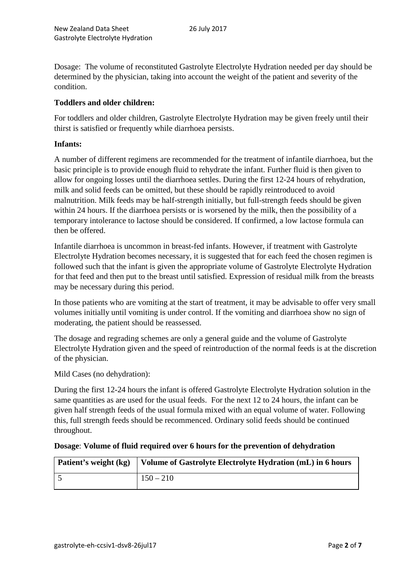Dosage: The volume of reconstituted Gastrolyte Electrolyte Hydration needed per day should be determined by the physician, taking into account the weight of the patient and severity of the condition.

### **Toddlers and older children:**

For toddlers and older children, Gastrolyte Electrolyte Hydration may be given freely until their thirst is satisfied or frequently while diarrhoea persists.

#### **Infants:**

A number of different regimens are recommended for the treatment of infantile diarrhoea, but the basic principle is to provide enough fluid to rehydrate the infant. Further fluid is then given to allow for ongoing losses until the diarrhoea settles. During the first 12-24 hours of rehydration, milk and solid feeds can be omitted, but these should be rapidly reintroduced to avoid malnutrition. Milk feeds may be half-strength initially, but full-strength feeds should be given within 24 hours. If the diarrhoea persists or is worsened by the milk, then the possibility of a temporary intolerance to lactose should be considered. If confirmed, a low lactose formula can then be offered.

Infantile diarrhoea is uncommon in breast-fed infants. However, if treatment with Gastrolyte Electrolyte Hydration becomes necessary, it is suggested that for each feed the chosen regimen is followed such that the infant is given the appropriate volume of Gastrolyte Electrolyte Hydration for that feed and then put to the breast until satisfied. Expression of residual milk from the breasts may be necessary during this period.

In those patients who are vomiting at the start of treatment, it may be advisable to offer very small volumes initially until vomiting is under control. If the vomiting and diarrhoea show no sign of moderating, the patient should be reassessed.

The dosage and regrading schemes are only a general guide and the volume of Gastrolyte Electrolyte Hydration given and the speed of reintroduction of the normal feeds is at the discretion of the physician.

Mild Cases (no dehydration):

During the first 12-24 hours the infant is offered Gastrolyte Electrolyte Hydration solution in the same quantities as are used for the usual feeds. For the next 12 to 24 hours, the infant can be given half strength feeds of the usual formula mixed with an equal volume of water. Following this, full strength feeds should be recommenced. Ordinary solid feeds should be continued throughout.

#### **Dosage**: **Volume of fluid required over 6 hours for the prevention of dehydration**

| Patient's weight (kg) | Volume of Gastrolyte Electrolyte Hydration (mL) in 6 hours |
|-----------------------|------------------------------------------------------------|
|                       | $150 - 210$                                                |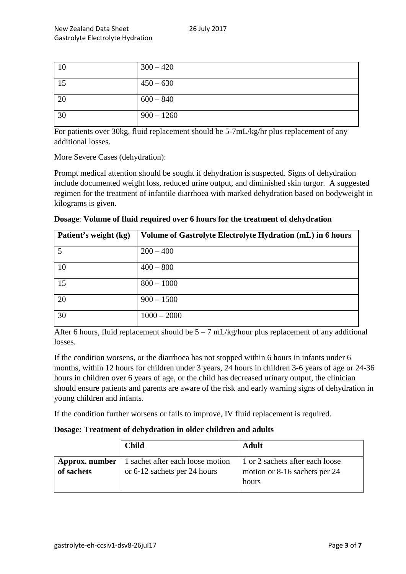| 10 | $300 - 420$  |
|----|--------------|
| 15 | $450 - 630$  |
| 20 | $600 - 840$  |
| 30 | $900 - 1260$ |

For patients over 30kg, fluid replacement should be 5-7mL/kg/hr plus replacement of any additional losses.

#### More Severe Cases (dehydration):

Prompt medical attention should be sought if dehydration is suspected. Signs of dehydration include documented weight loss, reduced urine output, and diminished skin turgor. A suggested regimen for the treatment of infantile diarrhoea with marked dehydration based on bodyweight in kilograms is given.

| Patient's weight (kg) | Volume of Gastrolyte Electrolyte Hydration (mL) in 6 hours |
|-----------------------|------------------------------------------------------------|
|                       | $200 - 400$                                                |
| 10                    | $400 - 800$                                                |
| 15                    | $800 - 1000$                                               |
| 20                    | $900 - 1500$                                               |
| 30                    | $1000 - 2000$                                              |

**Dosage**: **Volume of fluid required over 6 hours for the treatment of dehydration** 

After 6 hours, fluid replacement should be  $5 - 7$  mL/kg/hour plus replacement of any additional losses.

If the condition worsens, or the diarrhoea has not stopped within 6 hours in infants under 6 months, within 12 hours for children under 3 years, 24 hours in children 3-6 years of age or 24-36 hours in children over 6 years of age, or the child has decreased urinary output, the clinician should ensure patients and parents are aware of the risk and early warning signs of dehydration in young children and infants.

If the condition further worsens or fails to improve, IV fluid replacement is required.

### **Dosage: Treatment of dehydration in older children and adults**

|                              | <b>Child</b>                                                     | <b>Adult</b>                                                              |
|------------------------------|------------------------------------------------------------------|---------------------------------------------------------------------------|
| Approx. number<br>of sachets | 1 sachet after each loose motion<br>or 6-12 sachets per 24 hours | 1 or 2 sachets after each loose<br>motion or 8-16 sachets per 24<br>hours |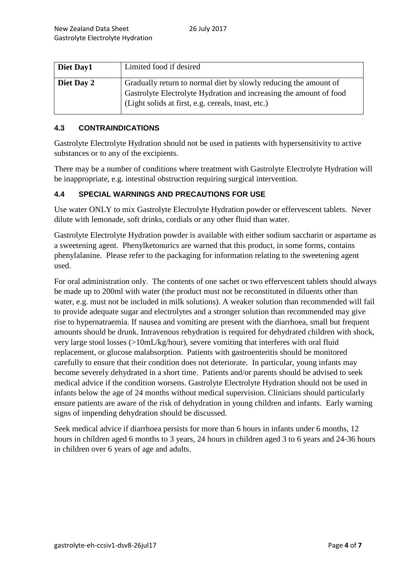| Diet Day1  | Limited food if desired                                                                                                                                                                      |
|------------|----------------------------------------------------------------------------------------------------------------------------------------------------------------------------------------------|
| Diet Day 2 | Gradually return to normal diet by slowly reducing the amount of<br>Gastrolyte Electrolyte Hydration and increasing the amount of food<br>(Light solids at first, e.g. cereals, toast, etc.) |

### **4.3 CONTRAINDICATIONS**

Gastrolyte Electrolyte Hydration should not be used in patients with hypersensitivity to active substances or to any of the excipients.

There may be a number of conditions where treatment with Gastrolyte Electrolyte Hydration will be inappropriate, e.g. intestinal obstruction requiring surgical intervention.

#### **4.4 SPECIAL WARNINGS AND PRECAUTIONS FOR USE**

Use water ONLY to mix Gastrolyte Electrolyte Hydration powder or effervescent tablets. Never dilute with lemonade, soft drinks, cordials or any other fluid than water.

Gastrolyte Electrolyte Hydration powder is available with either sodium saccharin or aspartame as a sweetening agent. Phenylketonurics are warned that this product, in some forms, contains phenylalanine. Please refer to the packaging for information relating to the sweetening agent used.

For oral administration only. The contents of one sachet or two effervescent tablets should always be made up to 200ml with water (the product must not be reconstituted in diluents other than water, e.g. must not be included in milk solutions). A weaker solution than recommended will fail to provide adequate sugar and electrolytes and a stronger solution than recommended may give rise to hypernatraemia. If nausea and vomiting are present with the diarrhoea, small but frequent amounts should be drunk. Intravenous rehydration is required for dehydrated children with shock, very large stool losses (>10mL/kg/hour), severe vomiting that interferes with oral fluid replacement, or glucose malabsorption. Patients with gastroenteritis should be monitored carefully to ensure that their condition does not deteriorate. In particular, young infants may become severely dehydrated in a short time. Patients and/or parents should be advised to seek medical advice if the condition worsens. Gastrolyte Electrolyte Hydration should not be used in infants below the age of 24 months without medical supervision. Clinicians should particularly ensure patients are aware of the risk of dehydration in young children and infants. Early warning signs of impending dehydration should be discussed.

Seek medical advice if diarrhoea persists for more than 6 hours in infants under 6 months, 12 hours in children aged 6 months to 3 years, 24 hours in children aged 3 to 6 years and 24-36 hours in children over 6 years of age and adults.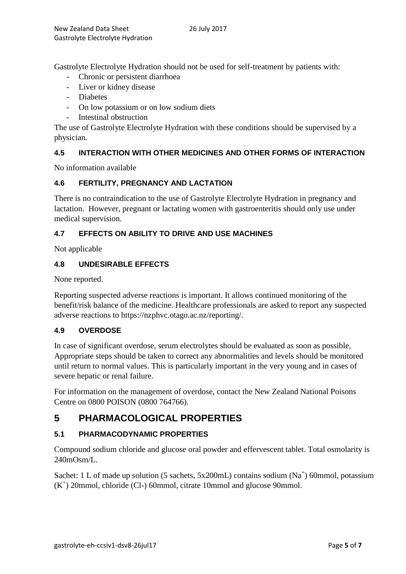Gastrolyte Electrolyte Hydration should not be used for self-treatment by patients with:

- Chronic or persistent diarrhoea
- Liver or kidney disease
- Diabetes
- On low potassium or on low sodium diets
- Intestinal obstruction

The use of Gastrolyte Electrolyte Hydration with these conditions should be supervised by a physician.

## **4.5 INTERACTION WITH OTHER MEDICINES AND OTHER FORMS OF INTERACTION**

No information available

## **4.6 FERTILITY, PREGNANCY AND LACTATION**

There is no contraindication to the use of Gastrolyte Electrolyte Hydration in pregnancy and lactation. However, pregnant or lactating women with gastroenteritis should only use under medical supervision.

## **4.7 EFFECTS ON ABILITY TO DRIVE AND USE MACHINES**

Not applicable

### **4.8 UNDESIRABLE EFFECTS**

None reported.

Reporting suspected adverse reactions is important. It allows continued monitoring of the benefit/risk balance of the medicine. Healthcare professionals are asked to report any suspected adverse reactions to https://nzphvc.otago.ac.nz/reporting/.

## **4.9 OVERDOSE**

In case of significant overdose, serum electrolytes should be evaluated as soon as possible, Appropriate steps should be taken to correct any abnormalities and levels should be monitored until return to normal values. This is particularly important in the very young and in cases of severe hepatic or renal failure.

For information on the management of overdose, contact the New Zealand National Poisons Centre on 0800 POISON (0800 764766).

# **5 PHARMACOLOGICAL PROPERTIES**

## **5.1 PHARMACODYNAMIC PROPERTIES**

Compound sodium chloride and glucose oral powder and effervescent tablet. Total osmolarity is  $240mOsm/L$ .

Sachet: 1 L of made up solution (5 sachets,  $5x200mL$ ) contains sodium (Na<sup>+</sup>) 60mmol, potassium (K+ ) 20mmol, chloride (Cl-) 60mmol, citrate 10mmol and glucose 90mmol.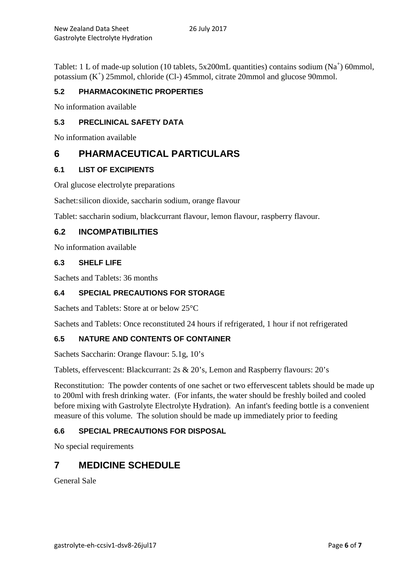Tablet: 1 L of made-up solution (10 tablets,  $5x200mL$  quantities) contains sodium ( $Na<sup>+</sup>$ ) 60mmol, potassium (K<sup>+</sup>) 25mmol, chloride (Cl-) 45mmol, citrate 20mmol and glucose 90mmol.

### **5.2 PHARMACOKINETIC PROPERTIES**

No information available

### **5.3 PRECLINICAL SAFETY DATA**

No information available

## **6 PHARMACEUTICAL PARTICULARS**

### **6.1 LIST OF EXCIPIENTS**

Oral glucose electrolyte preparations

Sachet:silicon dioxide, saccharin sodium, orange flavour

Tablet: saccharin sodium, blackcurrant flavour, lemon flavour, raspberry flavour.

### **6.2 INCOMPATIBILITIES**

No information available

### **6.3 SHELF LIFE**

Sachets and Tablets: 36 months

### **6.4 SPECIAL PRECAUTIONS FOR STORAGE**

Sachets and Tablets: Store at or below 25°C

Sachets and Tablets: Once reconstituted 24 hours if refrigerated, 1 hour if not refrigerated

### **6.5 NATURE AND CONTENTS OF CONTAINER**

Sachets Saccharin: Orange flavour: 5.1g, 10's

Tablets, effervescent: Blackcurrant: 2s & 20's, Lemon and Raspberry flavours: 20's

Reconstitution: The powder contents of one sachet or two effervescent tablets should be made up to 200ml with fresh drinking water. (For infants, the water should be freshly boiled and cooled before mixing with Gastrolyte Electrolyte Hydration). An infant's feeding bottle is a convenient measure of this volume. The solution should be made up immediately prior to feeding

### **6.6 SPECIAL PRECAUTIONS FOR DISPOSAL**

No special requirements

## **7 MEDICINE SCHEDULE**

General Sale